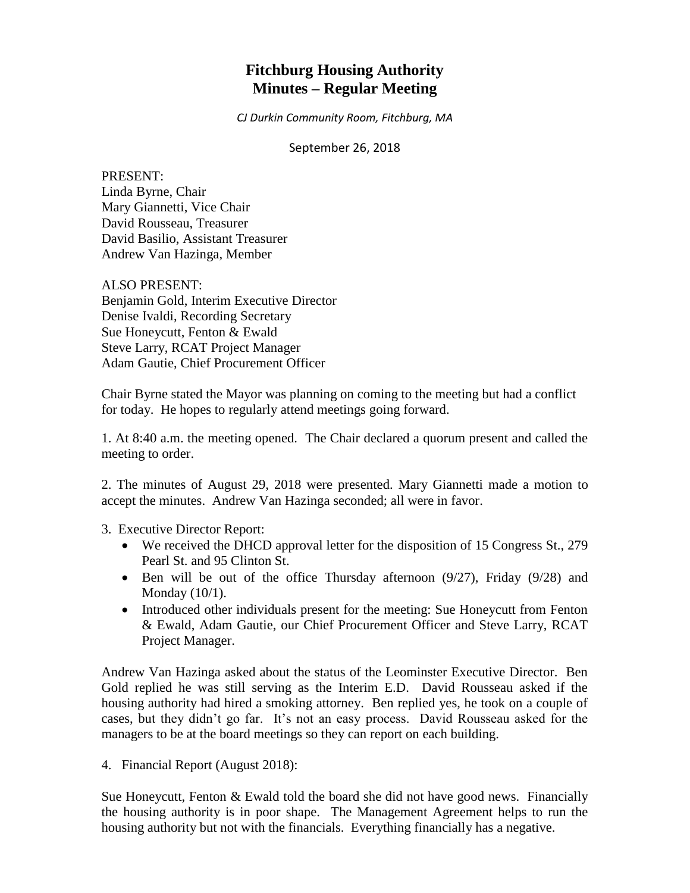# **Fitchburg Housing Authority Minutes – Regular Meeting**

*CJ Durkin Community Room, Fitchburg, MA*

#### September 26, 2018

PRESENT: Linda Byrne, Chair Mary Giannetti, Vice Chair David Rousseau, Treasurer David Basilio, Assistant Treasurer Andrew Van Hazinga, Member

ALSO PRESENT: Benjamin Gold, Interim Executive Director Denise Ivaldi, Recording Secretary Sue Honeycutt, Fenton & Ewald Steve Larry, RCAT Project Manager Adam Gautie, Chief Procurement Officer

Chair Byrne stated the Mayor was planning on coming to the meeting but had a conflict for today. He hopes to regularly attend meetings going forward.

1. At 8:40 a.m. the meeting opened. The Chair declared a quorum present and called the meeting to order.

2. The minutes of August 29, 2018 were presented. Mary Giannetti made a motion to accept the minutes. Andrew Van Hazinga seconded; all were in favor.

3. Executive Director Report:

- We received the DHCD approval letter for the disposition of 15 Congress St., 279 Pearl St. and 95 Clinton St.
- $\bullet$  Ben will be out of the office Thursday afternoon (9/27), Friday (9/28) and Monday (10/1).
- Introduced other individuals present for the meeting: Sue Honeycutt from Fenton & Ewald, Adam Gautie, our Chief Procurement Officer and Steve Larry, RCAT Project Manager.

Andrew Van Hazinga asked about the status of the Leominster Executive Director. Ben Gold replied he was still serving as the Interim E.D. David Rousseau asked if the housing authority had hired a smoking attorney. Ben replied yes, he took on a couple of cases, but they didn't go far. It's not an easy process. David Rousseau asked for the managers to be at the board meetings so they can report on each building.

4. Financial Report (August 2018):

Sue Honeycutt, Fenton & Ewald told the board she did not have good news. Financially the housing authority is in poor shape. The Management Agreement helps to run the housing authority but not with the financials. Everything financially has a negative.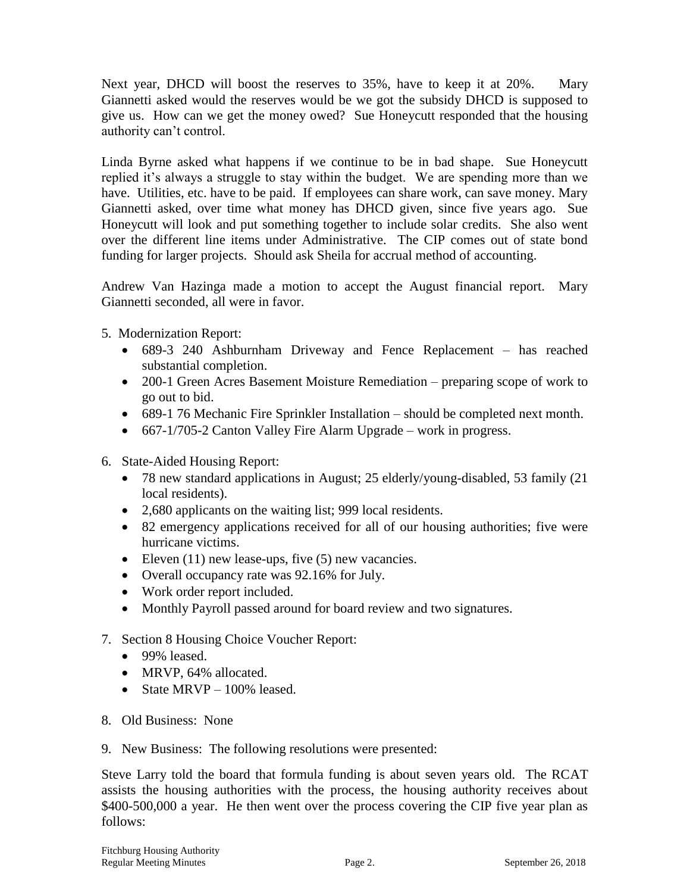Next year, DHCD will boost the reserves to 35%, have to keep it at 20%. Mary Giannetti asked would the reserves would be we got the subsidy DHCD is supposed to give us. How can we get the money owed? Sue Honeycutt responded that the housing authority can't control.

Linda Byrne asked what happens if we continue to be in bad shape. Sue Honeycutt replied it's always a struggle to stay within the budget. We are spending more than we have. Utilities, etc. have to be paid. If employees can share work, can save money. Mary Giannetti asked, over time what money has DHCD given, since five years ago. Sue Honeycutt will look and put something together to include solar credits. She also went over the different line items under Administrative. The CIP comes out of state bond funding for larger projects. Should ask Sheila for accrual method of accounting.

Andrew Van Hazinga made a motion to accept the August financial report. Mary Giannetti seconded, all were in favor.

5. Modernization Report:

- 689-3 240 Ashburnham Driveway and Fence Replacement has reached substantial completion.
- 200-1 Green Acres Basement Moisture Remediation preparing scope of work to go out to bid.
- 689-1 76 Mechanic Fire Sprinkler Installation should be completed next month.
- 667-1/705-2 Canton Valley Fire Alarm Upgrade work in progress.
- 6. State-Aided Housing Report:
	- 78 new standard applications in August; 25 elderly/young-disabled, 53 family (21) local residents).
	- 2,680 applicants on the waiting list; 999 local residents.
	- 82 emergency applications received for all of our housing authorities; five were hurricane victims.
	- Eleven  $(11)$  new lease-ups, five  $(5)$  new vacancies.
	- Overall occupancy rate was 92.16% for July.
	- Work order report included.
	- Monthly Payroll passed around for board review and two signatures.
- 7. Section 8 Housing Choice Voucher Report:
	- 99% leased.
	- MRVP, 64% allocated.
	- State MRVP 100% leased.
- 8. Old Business: None
- 9. New Business: The following resolutions were presented:

Steve Larry told the board that formula funding is about seven years old. The RCAT assists the housing authorities with the process, the housing authority receives about \$400-500,000 a year. He then went over the process covering the CIP five year plan as follows: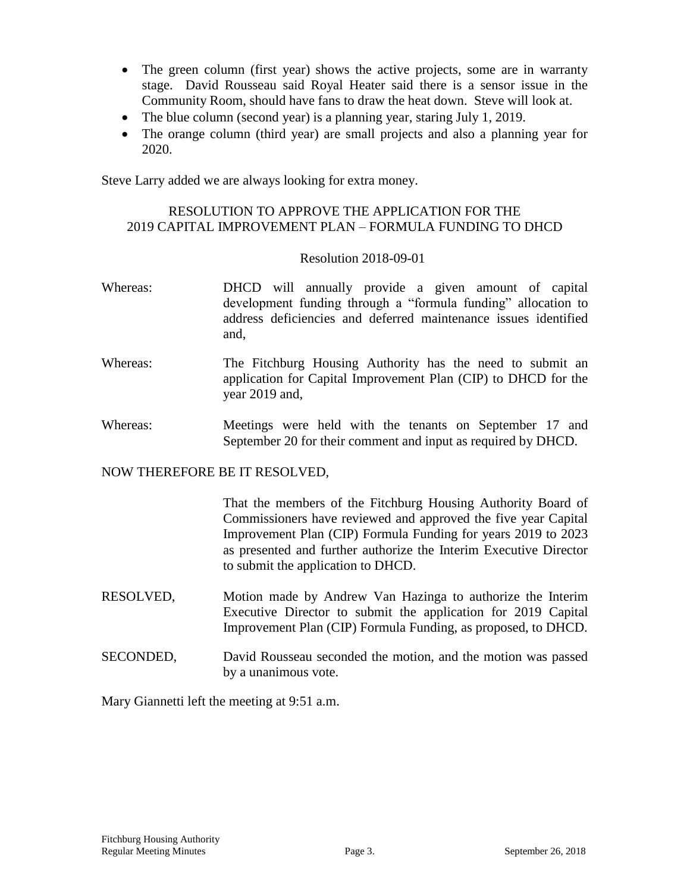- The green column (first year) shows the active projects, some are in warranty stage. David Rousseau said Royal Heater said there is a sensor issue in the Community Room, should have fans to draw the heat down. Steve will look at.
- The blue column (second year) is a planning year, staring July 1, 2019.
- The orange column (third year) are small projects and also a planning year for 2020.

Steve Larry added we are always looking for extra money.

# RESOLUTION TO APPROVE THE APPLICATION FOR THE 2019 CAPITAL IMPROVEMENT PLAN – FORMULA FUNDING TO DHCD

#### Resolution 2018-09-01

- Whereas: DHCD will annually provide a given amount of capital development funding through a "formula funding" allocation to address deficiencies and deferred maintenance issues identified and,
- Whereas: The Fitchburg Housing Authority has the need to submit an application for Capital Improvement Plan (CIP) to DHCD for the year 2019 and,
- Whereas: Meetings were held with the tenants on September 17 and September 20 for their comment and input as required by DHCD.

#### NOW THEREFORE BE IT RESOLVED,

That the members of the Fitchburg Housing Authority Board of Commissioners have reviewed and approved the five year Capital Improvement Plan (CIP) Formula Funding for years 2019 to 2023 as presented and further authorize the Interim Executive Director to submit the application to DHCD.

- RESOLVED, Motion made by Andrew Van Hazinga to authorize the Interim Executive Director to submit the application for 2019 Capital Improvement Plan (CIP) Formula Funding, as proposed, to DHCD.
- SECONDED, David Rousseau seconded the motion, and the motion was passed by a unanimous vote.

Mary Giannetti left the meeting at 9:51 a.m.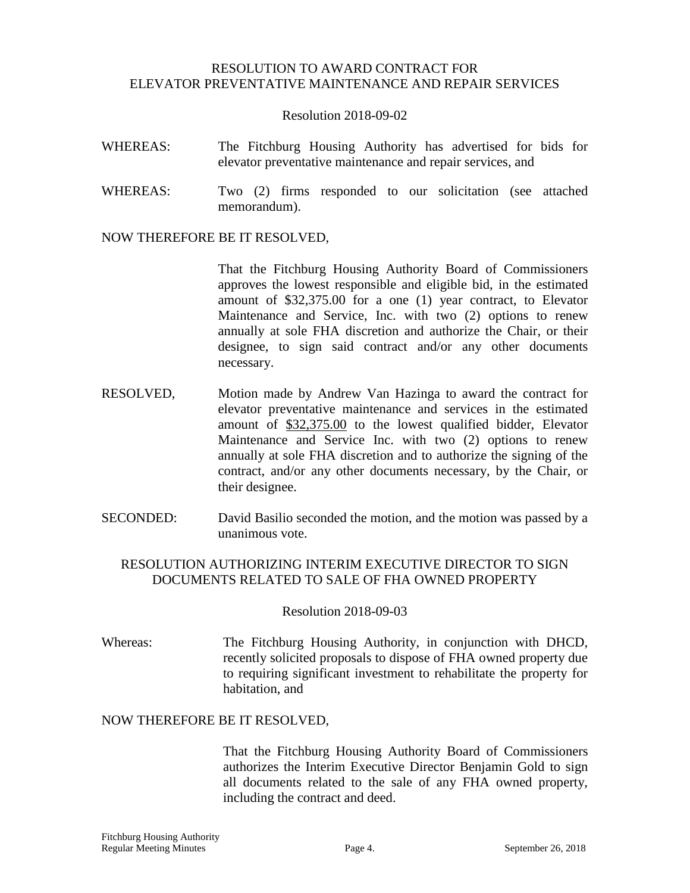## RESOLUTION TO AWARD CONTRACT FOR ELEVATOR PREVENTATIVE MAINTENANCE AND REPAIR SERVICES

#### Resolution 2018-09-02

- WHEREAS: The Fitchburg Housing Authority has advertised for bids for elevator preventative maintenance and repair services, and
- WHEREAS: Two (2) firms responded to our solicitation (see attached memorandum).

#### NOW THEREFORE BE IT RESOLVED,

That the Fitchburg Housing Authority Board of Commissioners approves the lowest responsible and eligible bid, in the estimated amount of \$32,375.00 for a one (1) year contract, to Elevator Maintenance and Service, Inc. with two (2) options to renew annually at sole FHA discretion and authorize the Chair, or their designee, to sign said contract and/or any other documents necessary.

- RESOLVED, Motion made by Andrew Van Hazinga to award the contract for elevator preventative maintenance and services in the estimated amount of \$32,375.00 to the lowest qualified bidder, Elevator Maintenance and Service Inc. with two (2) options to renew annually at sole FHA discretion and to authorize the signing of the contract, and/or any other documents necessary, by the Chair, or their designee.
- SECONDED: David Basilio seconded the motion, and the motion was passed by a unanimous vote.

## RESOLUTION AUTHORIZING INTERIM EXECUTIVE DIRECTOR TO SIGN DOCUMENTS RELATED TO SALE OF FHA OWNED PROPERTY

#### Resolution 2018-09-03

Whereas: The Fitchburg Housing Authority, in conjunction with DHCD, recently solicited proposals to dispose of FHA owned property due to requiring significant investment to rehabilitate the property for habitation, and

#### NOW THEREFORE BE IT RESOLVED,

That the Fitchburg Housing Authority Board of Commissioners authorizes the Interim Executive Director Benjamin Gold to sign all documents related to the sale of any FHA owned property, including the contract and deed.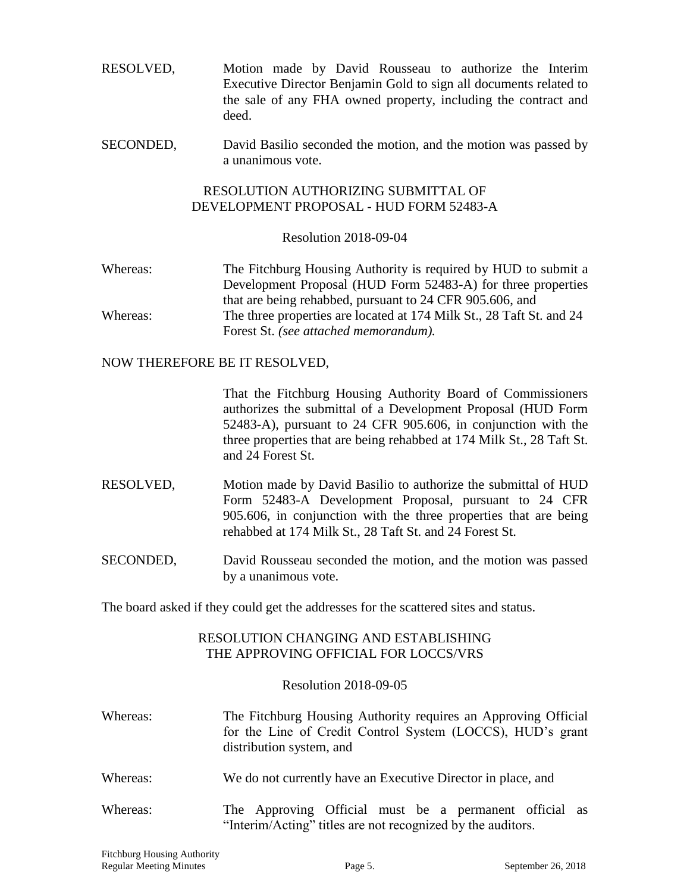RESOLVED, Motion made by David Rousseau to authorize the Interim Executive Director Benjamin Gold to sign all documents related to the sale of any FHA owned property, including the contract and deed.

SECONDED, David Basilio seconded the motion, and the motion was passed by a unanimous vote.

## RESOLUTION AUTHORIZING SUBMITTAL OF DEVELOPMENT PROPOSAL - HUD FORM 52483-A

#### Resolution 2018-09-04

Whereas: The Fitchburg Housing Authority is required by HUD to submit a Development Proposal (HUD Form 52483-A) for three properties that are being rehabbed, pursuant to 24 CFR 905.606, and Whereas: The three properties are located at 174 Milk St., 28 Taft St. and 24 Forest St. *(see attached memorandum).*

## NOW THEREFORE BE IT RESOLVED,

That the Fitchburg Housing Authority Board of Commissioners authorizes the submittal of a Development Proposal (HUD Form 52483-A), pursuant to 24 CFR 905.606, in conjunction with the three properties that are being rehabbed at 174 Milk St., 28 Taft St. and 24 Forest St.

- RESOLVED, Motion made by David Basilio to authorize the submittal of HUD Form 52483-A Development Proposal, pursuant to 24 CFR 905.606, in conjunction with the three properties that are being rehabbed at 174 Milk St., 28 Taft St. and 24 Forest St.
- SECONDED, David Rousseau seconded the motion, and the motion was passed by a unanimous vote.

The board asked if they could get the addresses for the scattered sites and status.

## RESOLUTION CHANGING AND ESTABLISHING THE APPROVING OFFICIAL FOR LOCCS/VRS

## Resolution 2018-09-05

- Whereas: The Fitchburg Housing Authority requires an Approving Official for the Line of Credit Control System (LOCCS), HUD's grant distribution system, and
- Whereas: We do not currently have an Executive Director in place, and
- Whereas: The Approving Official must be a permanent official as "Interim/Acting" titles are not recognized by the auditors.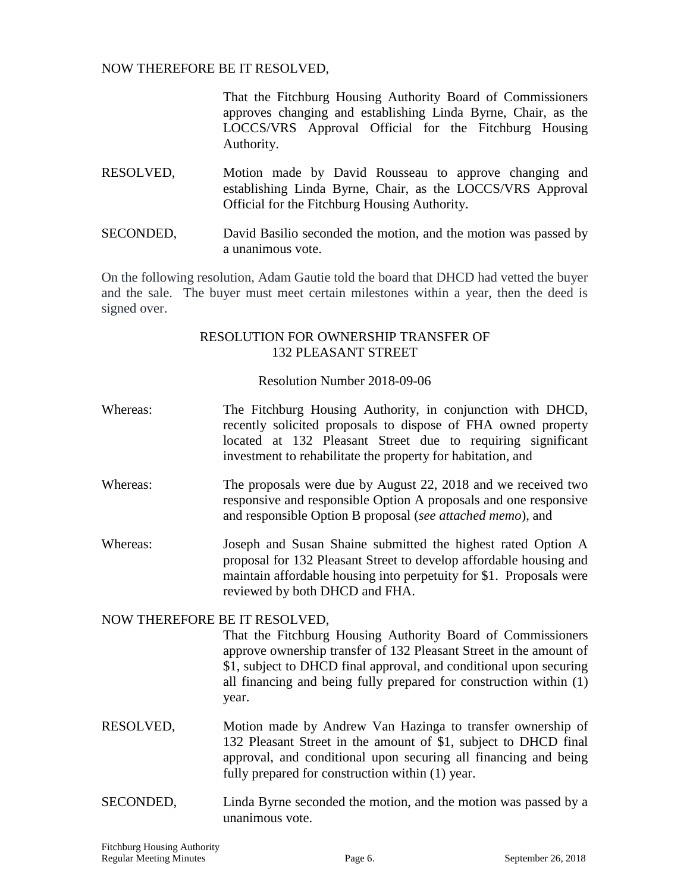NOW THEREFORE BE IT RESOLVED,

That the Fitchburg Housing Authority Board of Commissioners approves changing and establishing Linda Byrne, Chair, as the LOCCS/VRS Approval Official for the Fitchburg Housing Authority.

- RESOLVED, Motion made by David Rousseau to approve changing and establishing Linda Byrne, Chair, as the LOCCS/VRS Approval Official for the Fitchburg Housing Authority.
- SECONDED, David Basilio seconded the motion, and the motion was passed by a unanimous vote.

On the following resolution, Adam Gautie told the board that DHCD had vetted the buyer and the sale. The buyer must meet certain milestones within a year, then the deed is signed over.

## RESOLUTION FOR OWNERSHIP TRANSFER OF 132 PLEASANT STREET

## Resolution Number 2018-09-06

- Whereas: The Fitchburg Housing Authority, in conjunction with DHCD, recently solicited proposals to dispose of FHA owned property located at 132 Pleasant Street due to requiring significant investment to rehabilitate the property for habitation, and
- Whereas: The proposals were due by August 22, 2018 and we received two responsive and responsible Option A proposals and one responsive and responsible Option B proposal (*see attached memo*), and
- Whereas: Joseph and Susan Shaine submitted the highest rated Option A proposal for 132 Pleasant Street to develop affordable housing and maintain affordable housing into perpetuity for \$1. Proposals were reviewed by both DHCD and FHA.

## NOW THEREFORE BE IT RESOLVED,

That the Fitchburg Housing Authority Board of Commissioners approve ownership transfer of 132 Pleasant Street in the amount of \$1, subject to DHCD final approval, and conditional upon securing all financing and being fully prepared for construction within (1) year.

- RESOLVED, Motion made by Andrew Van Hazinga to transfer ownership of 132 Pleasant Street in the amount of \$1, subject to DHCD final approval, and conditional upon securing all financing and being fully prepared for construction within (1) year.
- SECONDED, Linda Byrne seconded the motion, and the motion was passed by a unanimous vote.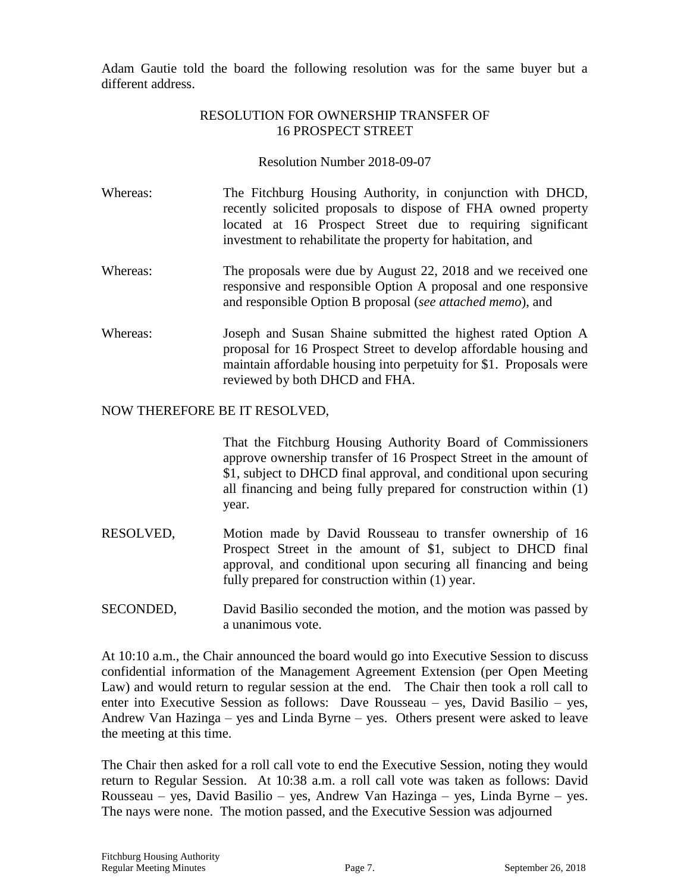Adam Gautie told the board the following resolution was for the same buyer but a different address.

# RESOLUTION FOR OWNERSHIP TRANSFER OF 16 PROSPECT STREET

Resolution Number 2018-09-07

- Whereas: The Fitchburg Housing Authority, in conjunction with DHCD, recently solicited proposals to dispose of FHA owned property located at 16 Prospect Street due to requiring significant investment to rehabilitate the property for habitation, and
- Whereas: The proposals were due by August 22, 2018 and we received one responsive and responsible Option A proposal and one responsive and responsible Option B proposal (*see attached memo*), and
- Whereas: Joseph and Susan Shaine submitted the highest rated Option A proposal for 16 Prospect Street to develop affordable housing and maintain affordable housing into perpetuity for \$1. Proposals were reviewed by both DHCD and FHA.

# NOW THEREFORE BE IT RESOLVED,

That the Fitchburg Housing Authority Board of Commissioners approve ownership transfer of 16 Prospect Street in the amount of \$1, subject to DHCD final approval, and conditional upon securing all financing and being fully prepared for construction within (1) year.

- RESOLVED, Motion made by David Rousseau to transfer ownership of 16 Prospect Street in the amount of \$1, subject to DHCD final approval, and conditional upon securing all financing and being fully prepared for construction within (1) year.
- SECONDED, David Basilio seconded the motion, and the motion was passed by a unanimous vote.

At 10:10 a.m., the Chair announced the board would go into Executive Session to discuss confidential information of the Management Agreement Extension (per Open Meeting Law) and would return to regular session at the end. The Chair then took a roll call to enter into Executive Session as follows: Dave Rousseau – yes, David Basilio – yes, Andrew Van Hazinga – yes and Linda Byrne – yes. Others present were asked to leave the meeting at this time.

The Chair then asked for a roll call vote to end the Executive Session, noting they would return to Regular Session. At 10:38 a.m. a roll call vote was taken as follows: David Rousseau – yes, David Basilio – yes, Andrew Van Hazinga – yes, Linda Byrne – yes. The nays were none. The motion passed, and the Executive Session was adjourned